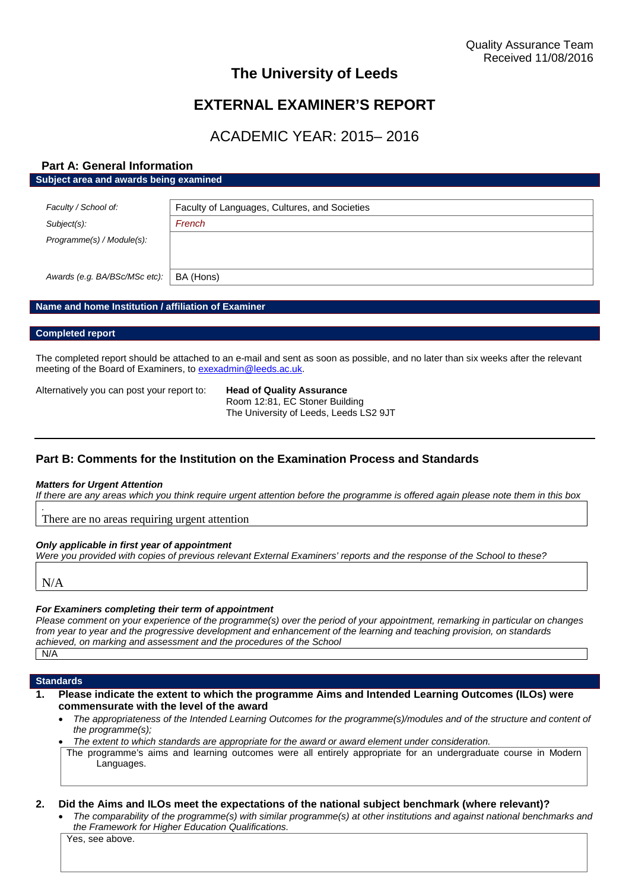# **The University of Leeds**

# **EXTERNAL EXAMINER'S REPORT**

# ACADEMIC YEAR: 2015– 2016

## **Part A: General Information Subject area and awards being examined**

| Faculty / School of:          | Faculty of Languages, Cultures, and Societies |
|-------------------------------|-----------------------------------------------|
| Subject(s):                   | French                                        |
| Programme(s) / Module(s):     |                                               |
| Awards (e.g. BA/BSc/MSc etc): | BA (Hons)                                     |

### **Name and home Institution / affiliation of Examiner**

#### **Completed report**

The completed report should be attached to an e-mail and sent as soon as possible, and no later than six weeks after the relevant meeting of the Board of Examiners, to [exexadmin@leeds.ac.uk.](mailto:exexadmin@leeds.ac.uk)

Alternatively you can post your report to: **Head of Quality Assurance**

Room 12:81, EC Stoner Building The University of Leeds, Leeds LS2 9JT

# **Part B: Comments for the Institution on the Examination Process and Standards**

#### *Matters for Urgent Attention*

*If there are any areas which you think require urgent attention before the programme is offered again please note them in this box*

There are no areas requiring urgent attention

#### *Only applicable in first year of appointment*

*Were you provided with copies of previous relevant External Examiners' reports and the response of the School to these?*

N/A

*.*

#### *For Examiners completing their term of appointment*

*Please comment on your experience of the programme(s) over the period of your appointment, remarking in particular on changes from year to year and the progressive development and enhancement of the learning and teaching provision, on standards achieved, on marking and assessment and the procedures of the School* N/A

#### **Standards**

- **1. Please indicate the extent to which the programme Aims and Intended Learning Outcomes (ILOs) were commensurate with the level of the award**
	- *The appropriateness of the Intended Learning Outcomes for the programme(s)/modules and of the structure and content of the programme(s);*
	- *The extent to which standards are appropriate for the award or award element under consideration.*
	- The programme's aims and learning outcomes were all entirely appropriate for an undergraduate course in Modern Languages.

### **2. Did the Aims and ILOs meet the expectations of the national subject benchmark (where relevant)?**

 *The comparability of the programme(s) with similar programme(s) at other institutions and against national benchmarks and the Framework for Higher Education Qualifications.*

Yes, see above.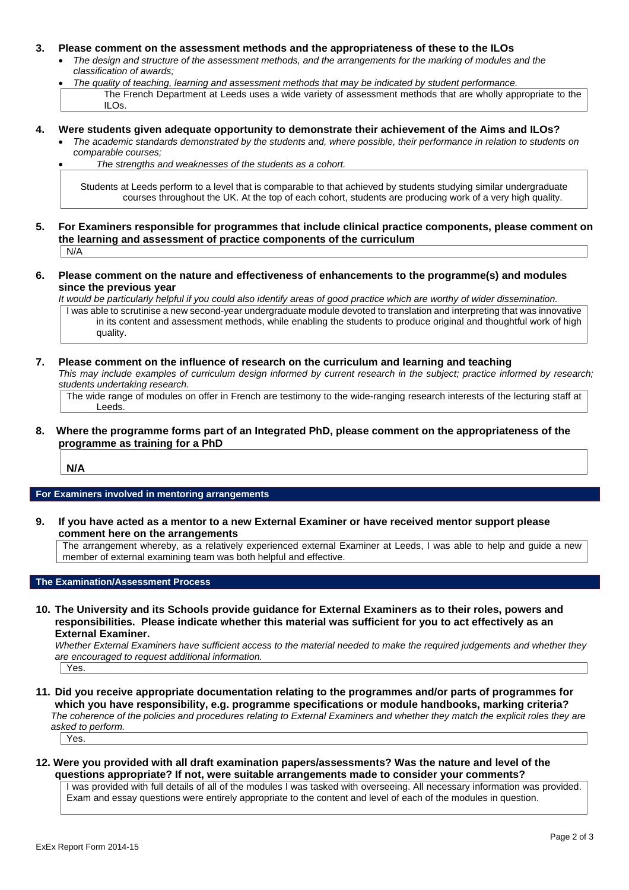#### **3. Please comment on the assessment methods and the appropriateness of these to the ILOs**

- *The design and structure of the assessment methods, and the arrangements for the marking of modules and the classification of awards;*
- *The quality of teaching, learning and assessment methods that may be indicated by student performance.* The French Department at Leeds uses a wide variety of assessment methods that are wholly appropriate to the ILOs.
- **4. Were students given adequate opportunity to demonstrate their achievement of the Aims and ILOs?**
	- *The academic standards demonstrated by the students and, where possible, their performance in relation to students on comparable courses;*

*The strengths and weaknesses of the students as a cohort.*

Students at Leeds perform to a level that is comparable to that achieved by students studying similar undergraduate courses throughout the UK. At the top of each cohort, students are producing work of a very high quality.

- **5. For Examiners responsible for programmes that include clinical practice components, please comment on the learning and assessment of practice components of the curriculum**  $N/A$
- **6. Please comment on the nature and effectiveness of enhancements to the programme(s) and modules since the previous year**

*It would be particularly helpful if you could also identify areas of good practice which are worthy of wider dissemination.* I was able to scrutinise a new second-year undergraduate module devoted to translation and interpreting that was innovative in its content and assessment methods, while enabling the students to produce original and thoughtful work of high quality.

#### **7. Please comment on the influence of research on the curriculum and learning and teaching** *This may include examples of curriculum design informed by current research in the subject; practice informed by research; students undertaking research.*

The wide range of modules on offer in French are testimony to the wide-ranging research interests of the lecturing staff at Leeds.

### **8. Where the programme forms part of an Integrated PhD, please comment on the appropriateness of the programme as training for a PhD**

**N/A**

#### **For Examiners involved in mentoring arrangements**

**9. If you have acted as a mentor to a new External Examiner or have received mentor support please comment here on the arrangements**

The arrangement whereby, as a relatively experienced external Examiner at Leeds, I was able to help and guide a new member of external examining team was both helpful and effective.

### **The Examination/Assessment Process**

**10. The University and its Schools provide guidance for External Examiners as to their roles, powers and responsibilities. Please indicate whether this material was sufficient for you to act effectively as an External Examiner.**

*Whether External Examiners have sufficient access to the material needed to make the required judgements and whether they are encouraged to request additional information.*

Yes.

**11. Did you receive appropriate documentation relating to the programmes and/or parts of programmes for which you have responsibility, e.g. programme specifications or module handbooks, marking criteria?** *The coherence of the policies and procedures relating to External Examiners and whether they match the explicit roles they are asked to perform.*

Yes.

### **12. Were you provided with all draft examination papers/assessments? Was the nature and level of the questions appropriate? If not, were suitable arrangements made to consider your comments?**

I was provided with full details of all of the modules I was tasked with overseeing. All necessary information was provided. Exam and essay questions were entirely appropriate to the content and level of each of the modules in question.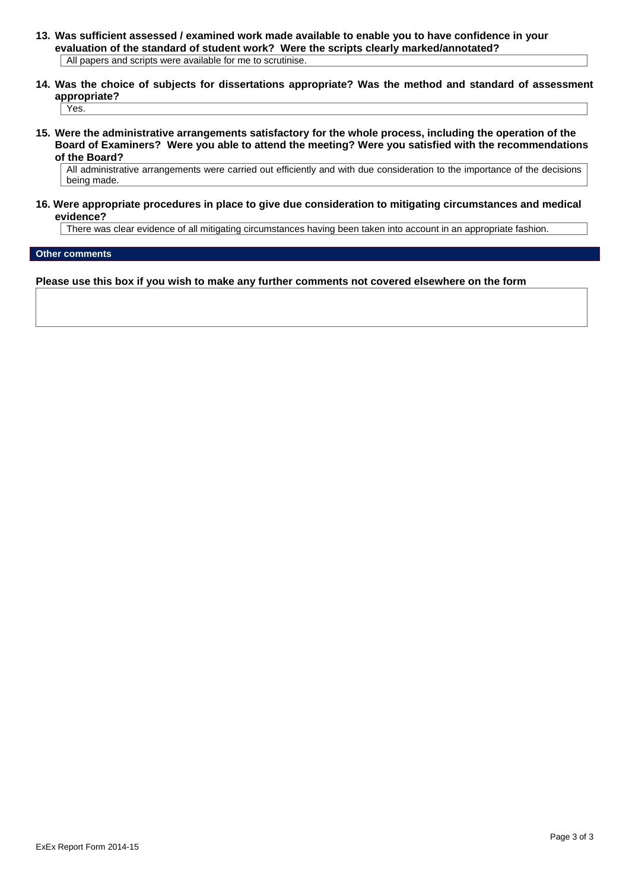- **13. Was sufficient assessed / examined work made available to enable you to have confidence in your evaluation of the standard of student work? Were the scripts clearly marked/annotated?** All papers and scripts were available for me to scrutinise.
- **14. Was the choice of subjects for dissertations appropriate? Was the method and standard of assessment appropriate?**

Yes.

**15. Were the administrative arrangements satisfactory for the whole process, including the operation of the Board of Examiners? Were you able to attend the meeting? Were you satisfied with the recommendations of the Board?**

All administrative arrangements were carried out efficiently and with due consideration to the importance of the decisions being made.

#### **16. Were appropriate procedures in place to give due consideration to mitigating circumstances and medical evidence?**

There was clear evidence of all mitigating circumstances having been taken into account in an appropriate fashion.

#### **Other comments**

**Please use this box if you wish to make any further comments not covered elsewhere on the form**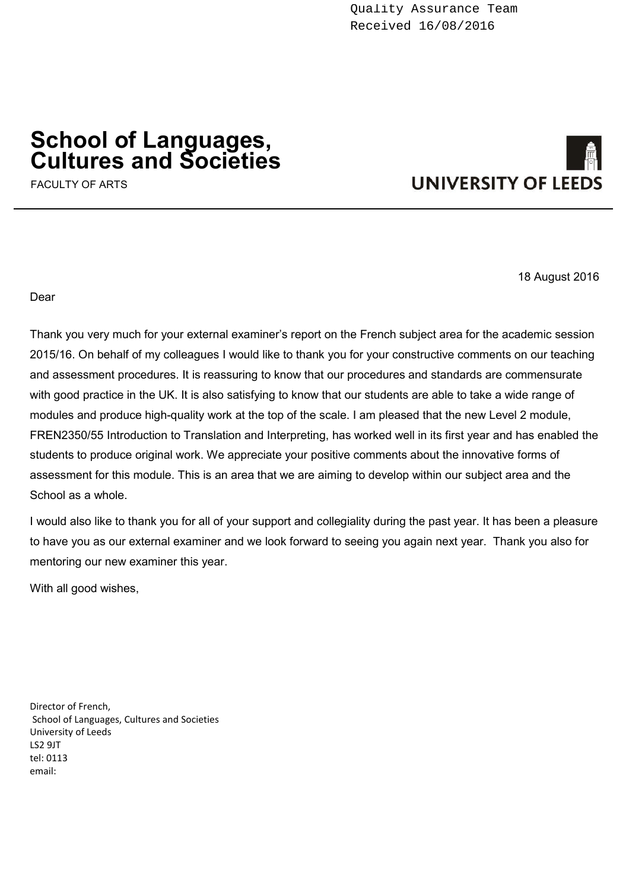# **School of Languages, Cultures and Societies**

FACULTY OF ARTS



18 August 2016

Dear

Thank you very much for your external examiner's report on the French subject area for the academic session 2015/16. On behalf of my colleagues I would like to thank you for your constructive comments on our teaching and assessment procedures. It is reassuring to know that our procedures and standards are commensurate with good practice in the UK. It is also satisfying to know that our students are able to take a wide range of modules and produce high-quality work at the top of the scale. I am pleased that the new Level 2 module, FREN2350/55 Introduction to Translation and Interpreting, has worked well in its first year and has enabled the students to produce original work. We appreciate your positive comments about the innovative forms of assessment for this module. This is an area that we are aiming to develop within our subject area and the School as a whole.

I would also like to thank you for all of your support and collegiality during the past year. It has been a pleasure to have you as our external examiner and we look forward to seeing you again next year. Thank you also for mentoring our new examiner this year.

With all good wishes,

Director of French, School of Languages, Cultures and Societies University of Leeds LS2 9JT tel: 0113 email: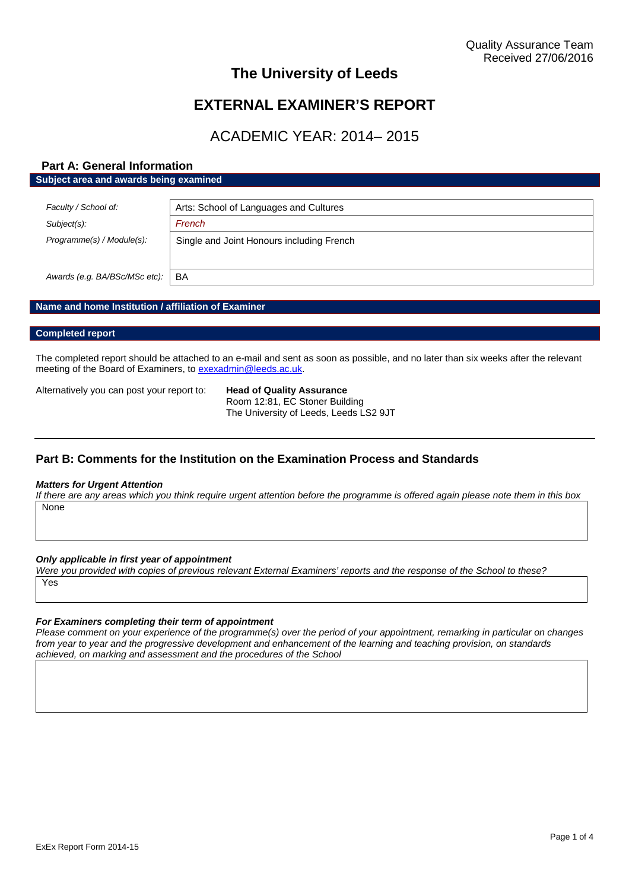# **The University of Leeds**

# **EXTERNAL EXAMINER'S REPORT**

# ACADEMIC YEAR: 2014– 2015

## **Part A: General Information Subject area and awards being examined**

| Faculty / School of:          | Arts: School of Languages and Cultures    |
|-------------------------------|-------------------------------------------|
| $Subject(s)$ :                | French                                    |
| Programme(s) / Module(s):     | Single and Joint Honours including French |
|                               |                                           |
| Awards (e.g. BA/BSc/MSc etc): | BA                                        |

### **Name and home Institution / affiliation of Examiner**

#### **Completed report**

The completed report should be attached to an e-mail and sent as soon as possible, and no later than six weeks after the relevant meeting of the Board of Examiners, to [exexadmin@leeds.ac.uk.](mailto:exexadmin@leeds.ac.uk)

Alternatively you can post your report to: **Head of Quality Assurance**

Room 12:81, EC Stoner Building The University of Leeds, Leeds LS2 9JT

# **Part B: Comments for the Institution on the Examination Process and Standards**

#### *Matters for Urgent Attention*

*If there are any areas which you think require urgent attention before the programme is offered again please note them in this box* **None** 

*Only applicable in first year of appointment*

*Were you provided with copies of previous relevant External Examiners' reports and the response of the School to these?* Yes

#### *For Examiners completing their term of appointment*

*Please comment on your experience of the programme(s) over the period of your appointment, remarking in particular on changes from year to year and the progressive development and enhancement of the learning and teaching provision, on standards achieved, on marking and assessment and the procedures of the School*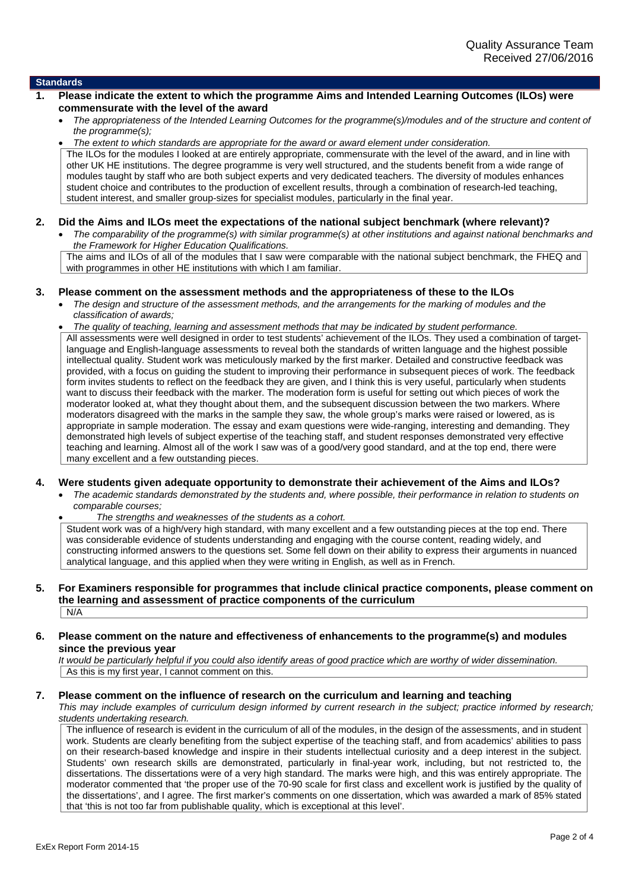#### **Standards**

- **1. Please indicate the extent to which the programme Aims and Intended Learning Outcomes (ILOs) were commensurate with the level of the award**
	- *The appropriateness of the Intended Learning Outcomes for the programme(s)/modules and of the structure and content of the programme(s);*

 *The extent to which standards are appropriate for the award or award element under consideration.* The ILOs for the modules I looked at are entirely appropriate, commensurate with the level of the award, and in line with other UK HE institutions. The degree programme is very well structured, and the students benefit from a wide range of modules taught by staff who are both subject experts and very dedicated teachers. The diversity of modules enhances student choice and contributes to the production of excellent results, through a combination of research-led teaching, student interest, and smaller group-sizes for specialist modules, particularly in the final year.

#### **2. Did the Aims and ILOs meet the expectations of the national subject benchmark (where relevant)?**

 *The comparability of the programme(s) with similar programme(s) at other institutions and against national benchmarks and the Framework for Higher Education Qualifications.* The aims and ILOs of all of the modules that I saw were comparable with the national subject benchmark, the FHEQ and with programmes in other HE institutions with which I am familiar.

**3. Please comment on the assessment methods and the appropriateness of these to the ILOs**

 *The design and structure of the assessment methods, and the arrangements for the marking of modules and the classification of awards;*

 *The quality of teaching, learning and assessment methods that may be indicated by student performance.* All assessments were well designed in order to test students' achievement of the ILOs. They used a combination of targetlanguage and English-language assessments to reveal both the standards of written language and the highest possible intellectual quality. Student work was meticulously marked by the first marker. Detailed and constructive feedback was provided, with a focus on guiding the student to improving their performance in subsequent pieces of work. The feedback form invites students to reflect on the feedback they are given, and I think this is very useful, particularly when students want to discuss their feedback with the marker. The moderation form is useful for setting out which pieces of work the moderator looked at, what they thought about them, and the subsequent discussion between the two markers. Where moderators disagreed with the marks in the sample they saw, the whole group's marks were raised or lowered, as is appropriate in sample moderation. The essay and exam questions were wide-ranging, interesting and demanding. They demonstrated high levels of subject expertise of the teaching staff, and student responses demonstrated very effective teaching and learning. Almost all of the work I saw was of a good/very good standard, and at the top end, there were many excellent and a few outstanding pieces.

#### **4. Were students given adequate opportunity to demonstrate their achievement of the Aims and ILOs?**

 *The academic standards demonstrated by the students and, where possible, their performance in relation to students on comparable courses;*

*The strengths and weaknesses of the students as a cohort.*

Student work was of a high/very high standard, with many excellent and a few outstanding pieces at the top end. There was considerable evidence of students understanding and engaging with the course content, reading widely, and constructing informed answers to the questions set. Some fell down on their ability to express their arguments in nuanced analytical language, and this applied when they were writing in English, as well as in French.

#### **5. For Examiners responsible for programmes that include clinical practice components, please comment on the learning and assessment of practice components of the curriculum**  $N/A$

#### **6. Please comment on the nature and effectiveness of enhancements to the programme(s) and modules since the previous year**

*It would be particularly helpful if you could also identify areas of good practice which are worthy of wider dissemination.* As this is my first year, I cannot comment on this.

#### **7. Please comment on the influence of research on the curriculum and learning and teaching**

*This may include examples of curriculum design informed by current research in the subject; practice informed by research; students undertaking research.*

The influence of research is evident in the curriculum of all of the modules, in the design of the assessments, and in student work. Students are clearly benefiting from the subject expertise of the teaching staff, and from academics' abilities to pass on their research-based knowledge and inspire in their students intellectual curiosity and a deep interest in the subject. Students' own research skills are demonstrated, particularly in final-year work, including, but not restricted to, the dissertations. The dissertations were of a very high standard. The marks were high, and this was entirely appropriate. The moderator commented that 'the proper use of the 70-90 scale for first class and excellent work is justified by the quality of the dissertations', and I agree. The first marker's comments on one dissertation, which was awarded a mark of 85% stated that 'this is not too far from publishable quality, which is exceptional at this level'.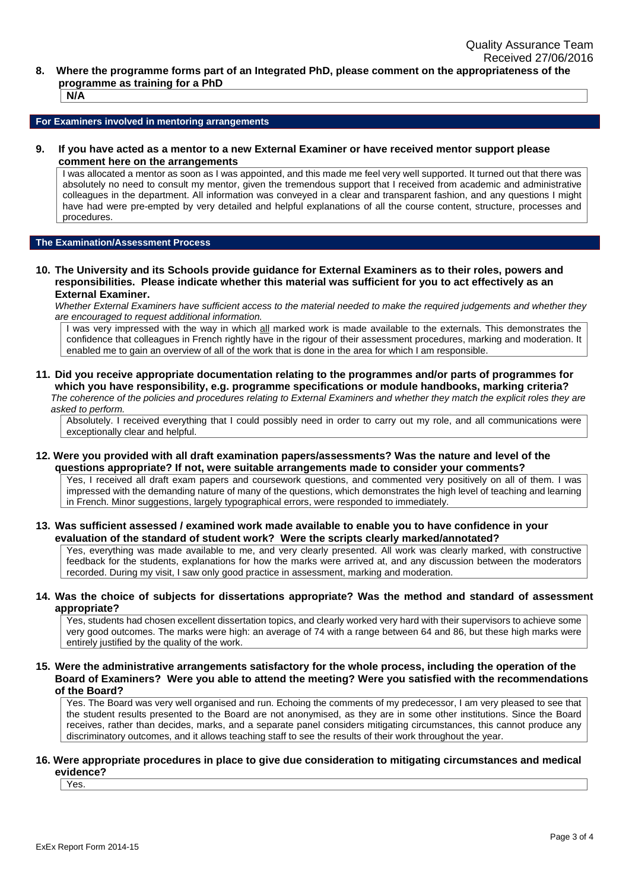**8. Where the programme forms part of an Integrated PhD, please comment on the appropriateness of the programme as training for a PhD**

**N/A**

**For Examiners involved in mentoring arrangements**

**9. If you have acted as a mentor to a new External Examiner or have received mentor support please comment here on the arrangements**

I was allocated a mentor as soon as I was appointed, and this made me feel very well supported. It turned out that there was absolutely no need to consult my mentor, given the tremendous support that I received from academic and administrative colleagues in the department. All information was conveyed in a clear and transparent fashion, and any questions I might have had were pre-empted by very detailed and helpful explanations of all the course content, structure, processes and procedures.

#### **The Examination/Assessment Process**

**10. The University and its Schools provide guidance for External Examiners as to their roles, powers and responsibilities. Please indicate whether this material was sufficient for you to act effectively as an External Examiner.**

*Whether External Examiners have sufficient access to the material needed to make the required judgements and whether they are encouraged to request additional information.*

I was very impressed with the way in which all marked work is made available to the externals. This demonstrates the confidence that colleagues in French rightly have in the rigour of their assessment procedures, marking and moderation. It enabled me to gain an overview of all of the work that is done in the area for which I am responsible.

**11. Did you receive appropriate documentation relating to the programmes and/or parts of programmes for which you have responsibility, e.g. programme specifications or module handbooks, marking criteria?** *The coherence of the policies and procedures relating to External Examiners and whether they match the explicit roles they are*

*asked to perform.*

Absolutely. I received everything that I could possibly need in order to carry out my role, and all communications were exceptionally clear and helpful.

**12. Were you provided with all draft examination papers/assessments? Was the nature and level of the questions appropriate? If not, were suitable arrangements made to consider your comments?**

Yes, I received all draft exam papers and coursework questions, and commented very positively on all of them. I was impressed with the demanding nature of many of the questions, which demonstrates the high level of teaching and learning in French. Minor suggestions, largely typographical errors, were responded to immediately.

**13. Was sufficient assessed / examined work made available to enable you to have confidence in your evaluation of the standard of student work? Were the scripts clearly marked/annotated?**

Yes, everything was made available to me, and very clearly presented. All work was clearly marked, with constructive feedback for the students, explanations for how the marks were arrived at, and any discussion between the moderators recorded. During my visit, I saw only good practice in assessment, marking and moderation.

#### **14. Was the choice of subjects for dissertations appropriate? Was the method and standard of assessment appropriate?**

Yes, students had chosen excellent dissertation topics, and clearly worked very hard with their supervisors to achieve some very good outcomes. The marks were high: an average of 74 with a range between 64 and 86, but these high marks were entirely justified by the quality of the work.

**15. Were the administrative arrangements satisfactory for the whole process, including the operation of the Board of Examiners? Were you able to attend the meeting? Were you satisfied with the recommendations of the Board?**

Yes. The Board was very well organised and run. Echoing the comments of my predecessor, I am very pleased to see that the student results presented to the Board are not anonymised, as they are in some other institutions. Since the Board receives, rather than decides, marks, and a separate panel considers mitigating circumstances, this cannot produce any discriminatory outcomes, and it allows teaching staff to see the results of their work throughout the year.

#### **16. Were appropriate procedures in place to give due consideration to mitigating circumstances and medical evidence?**

Yes.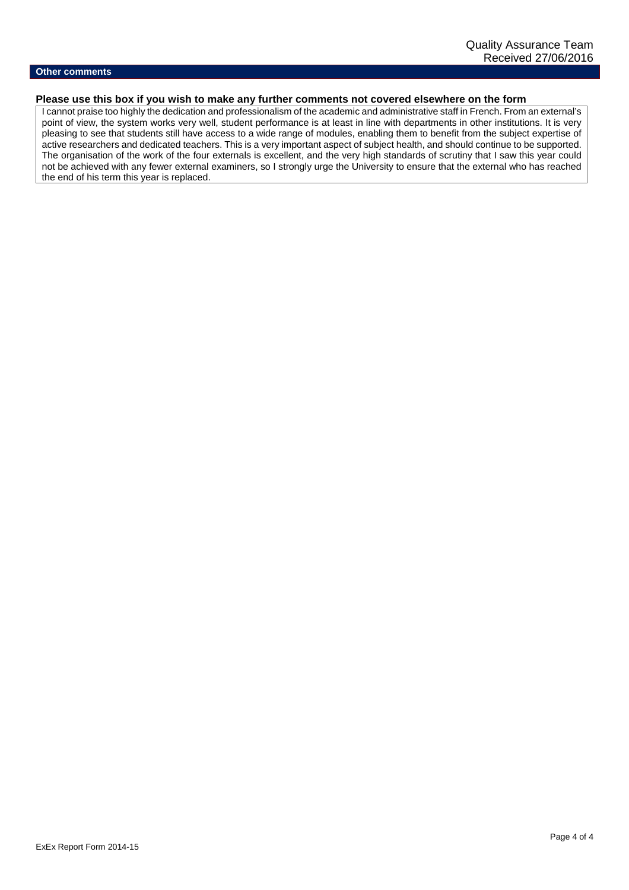## **Other comments**

# **Please use this box if you wish to make any further comments not covered elsewhere on the form**

I cannot praise too highly the dedication and professionalism of the academic and administrative staff in French. From an external's point of view, the system works very well, student performance is at least in line with departments in other institutions. It is very pleasing to see that students still have access to a wide range of modules, enabling them to benefit from the subject expertise of active researchers and dedicated teachers. This is a very important aspect of subject health, and should continue to be supported. The organisation of the work of the four externals is excellent, and the very high standards of scrutiny that I saw this year could not be achieved with any fewer external examiners, so I strongly urge the University to ensure that the external who has reached the end of his term this year is replaced.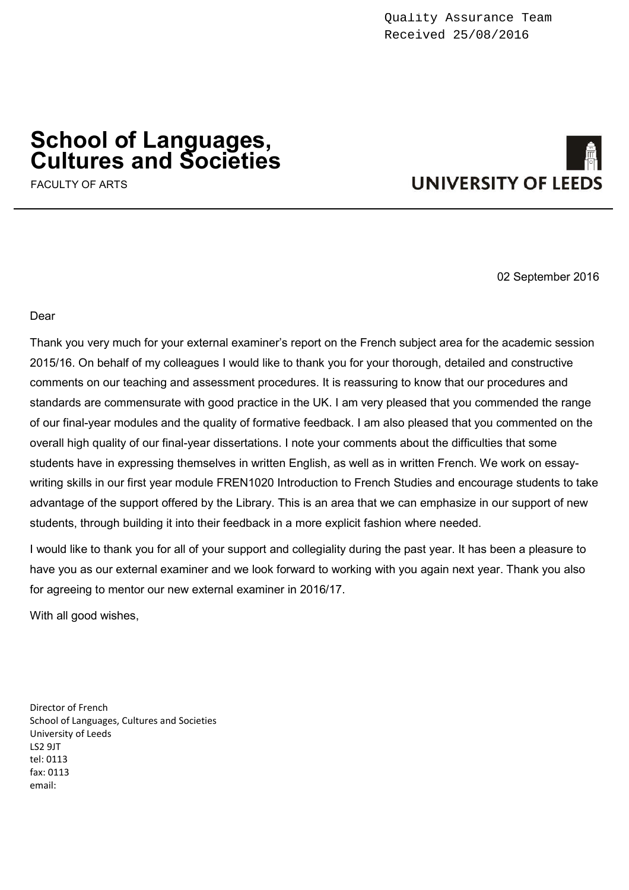# **School of Languages, Cultures and Societies**

FACULTY OF ARTS



02 September 2016

Dear

Thank you very much for your external examiner's report on the French subject area for the academic session 2015/16. On behalf of my colleagues I would like to thank you for your thorough, detailed and constructive comments on our teaching and assessment procedures. It is reassuring to know that our procedures and standards are commensurate with good practice in the UK. I am very pleased that you commended the range of our final-year modules and the quality of formative feedback. I am also pleased that you commented on the overall high quality of our final-year dissertations. I note your comments about the difficulties that some students have in expressing themselves in written English, as well as in written French. We work on essaywriting skills in our first year module FREN1020 Introduction to French Studies and encourage students to take advantage of the support offered by the Library. This is an area that we can emphasize in our support of new students, through building it into their feedback in a more explicit fashion where needed.

I would like to thank you for all of your support and collegiality during the past year. It has been a pleasure to have you as our external examiner and we look forward to working with you again next year. Thank you also for agreeing to mentor our new external examiner in 2016/17.

With all good wishes,

Director of French School of Languages, Cultures and Societies University of Leeds LS2 9JT tel: 0113 fax: 0113 email: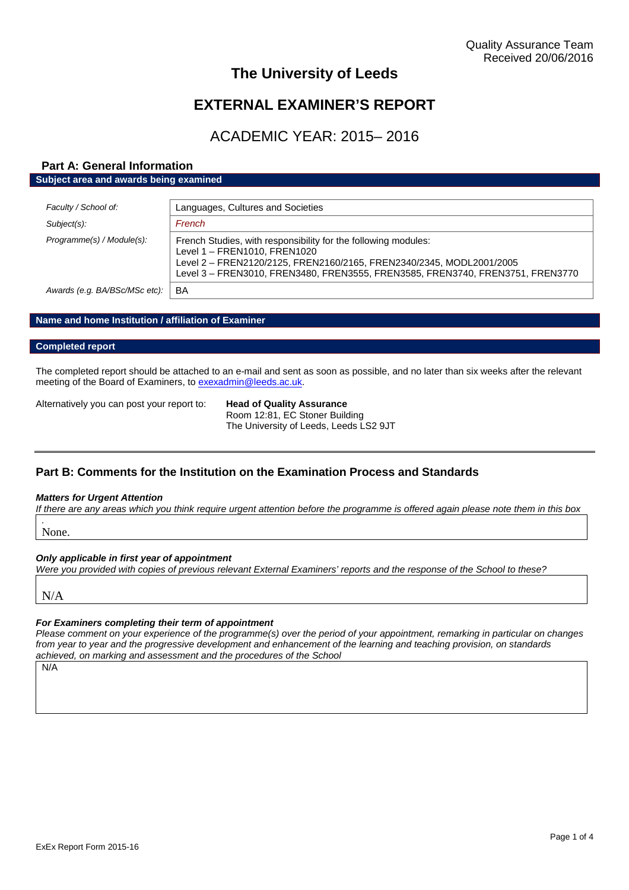# **The University of Leeds**

# **EXTERNAL EXAMINER'S REPORT**

# ACADEMIC YEAR: 2015– 2016

# **Part A: General Information Subject area and awards being examined**

| Faculty / School of:          | Languages, Cultures and Societies                                                                                                                                                                                                                        |
|-------------------------------|----------------------------------------------------------------------------------------------------------------------------------------------------------------------------------------------------------------------------------------------------------|
| Subject(s):                   | French                                                                                                                                                                                                                                                   |
| Programme(s) / Module(s):     | French Studies, with responsibility for the following modules:<br>Level 1 - FREN1010, FREN1020<br>Level 2 - FREN2120/2125, FREN2160/2165, FREN2340/2345, MODL2001/2005<br>Level 3 - FREN3010, FREN3480, FREN3555, FREN3585, FREN3740, FREN3751, FREN3770 |
| Awards (e.g. BA/BSc/MSc etc): | BA                                                                                                                                                                                                                                                       |

### **Name and home Institution / affiliation of Examiner**

#### **Completed report**

The completed report should be attached to an e-mail and sent as soon as possible, and no later than six weeks after the relevant meeting of the Board of Examiners, to [exexadmin@leeds.ac.uk.](mailto:exexadmin@leeds.ac.uk)

Alternatively you can post your report to: **Head of Quality Assurance**

Room 12:81, EC Stoner Building The University of Leeds, Leeds LS2 9JT

# **Part B: Comments for the Institution on the Examination Process and Standards**

#### *Matters for Urgent Attention*

*If there are any areas which you think require urgent attention before the programme is offered again please note them in this box*

*.* None.

### *Only applicable in first year of appointment*

*Were you provided with copies of previous relevant External Examiners' reports and the response of the School to these?*

N/A

# *For Examiners completing their term of appointment*

*Please comment on your experience of the programme(s) over the period of your appointment, remarking in particular on changes from year to year and the progressive development and enhancement of the learning and teaching provision, on standards achieved, on marking and assessment and the procedures of the School*

N/A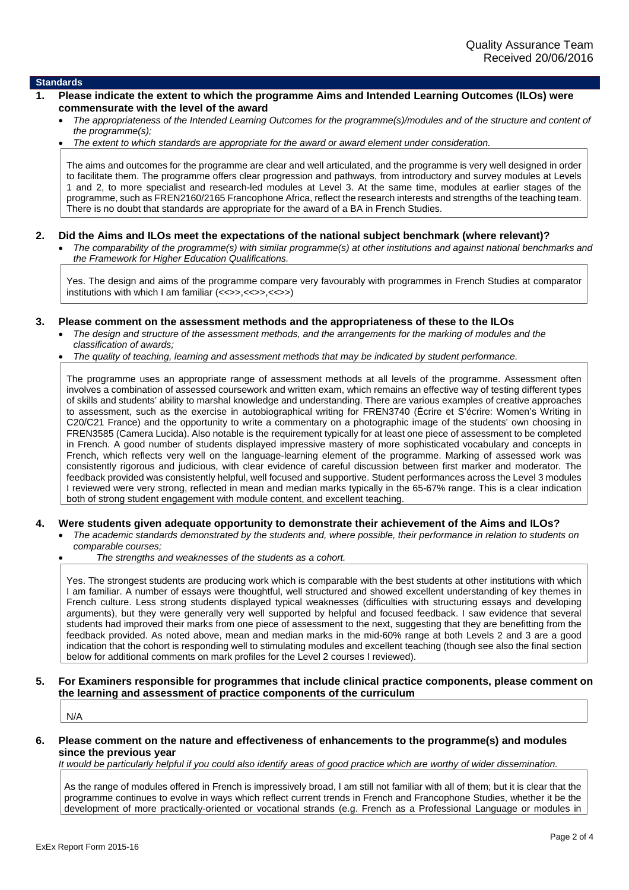#### **Standards**

- **1. Please indicate the extent to which the programme Aims and Intended Learning Outcomes (ILOs) were commensurate with the level of the award**
	- *The appropriateness of the Intended Learning Outcomes for the programme(s)/modules and of the structure and content of the programme(s);*
	- *The extent to which standards are appropriate for the award or award element under consideration.*

The aims and outcomes for the programme are clear and well articulated, and the programme is very well designed in order to facilitate them. The programme offers clear progression and pathways, from introductory and survey modules at Levels 1 and 2, to more specialist and research-led modules at Level 3. At the same time, modules at earlier stages of the programme, such as FREN2160/2165 Francophone Africa, reflect the research interests and strengths of the teaching team. There is no doubt that standards are appropriate for the award of a BA in French Studies.

#### **2. Did the Aims and ILOs meet the expectations of the national subject benchmark (where relevant)?**

 *The comparability of the programme(s) with similar programme(s) at other institutions and against national benchmarks and the Framework for Higher Education Qualifications.*

Yes. The design and aims of the programme compare very favourably with programmes in French Studies at comparator institutions with which I am familiar  $(\langle\langle\rangle, \langle\langle\langle\rangle \rangle, \langle\langle\langle\rangle \rangle)$ 

#### **3. Please comment on the assessment methods and the appropriateness of these to the ILOs**

- *The design and structure of the assessment methods, and the arrangements for the marking of modules and the classification of awards;*
- *The quality of teaching, learning and assessment methods that may be indicated by student performance.*

The programme uses an appropriate range of assessment methods at all levels of the programme. Assessment often involves a combination of assessed coursework and written exam, which remains an effective way of testing different types of skills and students' ability to marshal knowledge and understanding. There are various examples of creative approaches to assessment, such as the exercise in autobiographical writing for FREN3740 (Écrire et S'écrire: Women's Writing in C20/C21 France) and the opportunity to write a commentary on a photographic image of the students' own choosing in FREN3585 (Camera Lucida). Also notable is the requirement typically for at least one piece of assessment to be completed in French. A good number of students displayed impressive mastery of more sophisticated vocabulary and concepts in French, which reflects very well on the language-learning element of the programme. Marking of assessed work was consistently rigorous and judicious, with clear evidence of careful discussion between first marker and moderator. The feedback provided was consistently helpful, well focused and supportive. Student performances across the Level 3 modules I reviewed were very strong, reflected in mean and median marks typically in the 65-67% range. This is a clear indication both of strong student engagement with module content, and excellent teaching.

- **4. Were students given adequate opportunity to demonstrate their achievement of the Aims and ILOs?**
	- *The academic standards demonstrated by the students and, where possible, their performance in relation to students on comparable courses;*
		- *The strengths and weaknesses of the students as a cohort.*

Yes. The strongest students are producing work which is comparable with the best students at other institutions with which I am familiar. A number of essays were thoughtful, well structured and showed excellent understanding of key themes in French culture. Less strong students displayed typical weaknesses (difficulties with structuring essays and developing arguments), but they were generally very well supported by helpful and focused feedback. I saw evidence that several students had improved their marks from one piece of assessment to the next, suggesting that they are benefitting from the feedback provided. As noted above, mean and median marks in the mid-60% range at both Levels 2 and 3 are a good indication that the cohort is responding well to stimulating modules and excellent teaching (though see also the final section below for additional comments on mark profiles for the Level 2 courses I reviewed).

#### **5. For Examiners responsible for programmes that include clinical practice components, please comment on the learning and assessment of practice components of the curriculum**

N/A

#### **6. Please comment on the nature and effectiveness of enhancements to the programme(s) and modules since the previous year**

*It would be particularly helpful if you could also identify areas of good practice which are worthy of wider dissemination.*

As the range of modules offered in French is impressively broad, I am still not familiar with all of them; but it is clear that the programme continues to evolve in ways which reflect current trends in French and Francophone Studies, whether it be the development of more practically-oriented or vocational strands (e.g. French as a Professional Language or modules in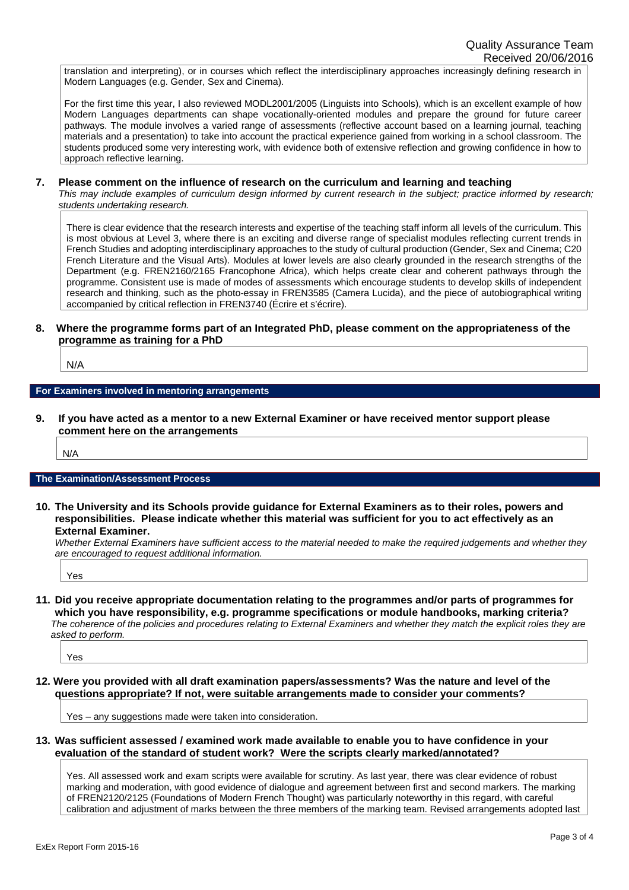translation and interpreting), or in courses which reflect the interdisciplinary approaches increasingly defining research in Modern Languages (e.g. Gender, Sex and Cinema).

For the first time this year, I also reviewed MODL2001/2005 (Linguists into Schools), which is an excellent example of how Modern Languages departments can shape vocationally-oriented modules and prepare the ground for future career pathways. The module involves a varied range of assessments (reflective account based on a learning journal, teaching materials and a presentation) to take into account the practical experience gained from working in a school classroom. The students produced some very interesting work, with evidence both of extensive reflection and growing confidence in how to approach reflective learning.

#### **7. Please comment on the influence of research on the curriculum and learning and teaching**

*This may include examples of curriculum design informed by current research in the subject; practice informed by research; students undertaking research.*

There is clear evidence that the research interests and expertise of the teaching staff inform all levels of the curriculum. This is most obvious at Level 3, where there is an exciting and diverse range of specialist modules reflecting current trends in French Studies and adopting interdisciplinary approaches to the study of cultural production (Gender, Sex and Cinema; C20 French Literature and the Visual Arts). Modules at lower levels are also clearly grounded in the research strengths of the Department (e.g. FREN2160/2165 Francophone Africa), which helps create clear and coherent pathways through the programme. Consistent use is made of modes of assessments which encourage students to develop skills of independent research and thinking, such as the photo-essay in FREN3585 (Camera Lucida), and the piece of autobiographical writing accompanied by critical reflection in FREN3740 (Écrire et s'écrire).

#### **8. Where the programme forms part of an Integrated PhD, please comment on the appropriateness of the programme as training for a PhD**

N/A

#### **For Examiners involved in mentoring arrangements**

**9. If you have acted as a mentor to a new External Examiner or have received mentor support please comment here on the arrangements**

N/A

#### **The Examination/Assessment Process**

**10. The University and its Schools provide guidance for External Examiners as to their roles, powers and responsibilities. Please indicate whether this material was sufficient for you to act effectively as an External Examiner.**

*Whether External Examiners have sufficient access to the material needed to make the required judgements and whether they are encouraged to request additional information.*

Yes

**11. Did you receive appropriate documentation relating to the programmes and/or parts of programmes for which you have responsibility, e.g. programme specifications or module handbooks, marking criteria?** *The coherence of the policies and procedures relating to External Examiners and whether they match the explicit roles they are asked to perform.*

Yes

**12. Were you provided with all draft examination papers/assessments? Was the nature and level of the questions appropriate? If not, were suitable arrangements made to consider your comments?**

Yes – any suggestions made were taken into consideration.

**13. Was sufficient assessed / examined work made available to enable you to have confidence in your evaluation of the standard of student work? Were the scripts clearly marked/annotated?**

Yes. All assessed work and exam scripts were available for scrutiny. As last year, there was clear evidence of robust marking and moderation, with good evidence of dialogue and agreement between first and second markers. The marking of FREN2120/2125 (Foundations of Modern French Thought) was particularly noteworthy in this regard, with careful calibration and adjustment of marks between the three members of the marking team. Revised arrangements adopted last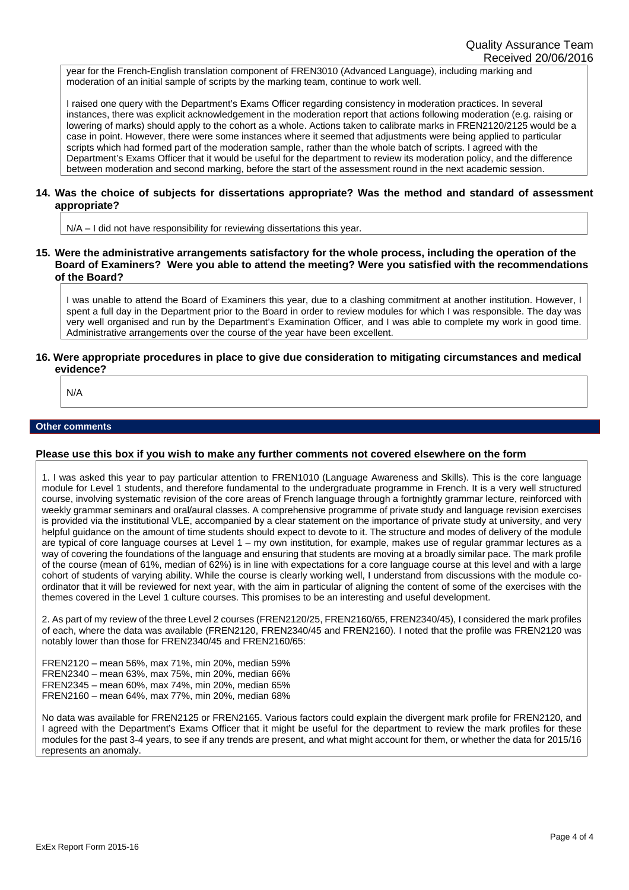year for the French-English translation component of FREN3010 (Advanced Language), including marking and moderation of an initial sample of scripts by the marking team, continue to work well.

I raised one query with the Department's Exams Officer regarding consistency in moderation practices. In several instances, there was explicit acknowledgement in the moderation report that actions following moderation (e.g. raising or lowering of marks) should apply to the cohort as a whole. Actions taken to calibrate marks in FREN2120/2125 would be a case in point. However, there were some instances where it seemed that adjustments were being applied to particular scripts which had formed part of the moderation sample, rather than the whole batch of scripts. I agreed with the Department's Exams Officer that it would be useful for the department to review its moderation policy, and the difference between moderation and second marking, before the start of the assessment round in the next academic session.

#### **14. Was the choice of subjects for dissertations appropriate? Was the method and standard of assessment appropriate?**

N/A – I did not have responsibility for reviewing dissertations this year.

**15. Were the administrative arrangements satisfactory for the whole process, including the operation of the Board of Examiners? Were you able to attend the meeting? Were you satisfied with the recommendations of the Board?**

I was unable to attend the Board of Examiners this year, due to a clashing commitment at another institution. However, I spent a full day in the Department prior to the Board in order to review modules for which I was responsible. The day was very well organised and run by the Department's Examination Officer, and I was able to complete my work in good time. Administrative arrangements over the course of the year have been excellent.

#### **16. Were appropriate procedures in place to give due consideration to mitigating circumstances and medical evidence?**

N/A

#### **Other comments**

#### **Please use this box if you wish to make any further comments not covered elsewhere on the form**

1. I was asked this year to pay particular attention to FREN1010 (Language Awareness and Skills). This is the core language module for Level 1 students, and therefore fundamental to the undergraduate programme in French. It is a very well structured course, involving systematic revision of the core areas of French language through a fortnightly grammar lecture, reinforced with weekly grammar seminars and oral/aural classes. A comprehensive programme of private study and language revision exercises is provided via the institutional VLE, accompanied by a clear statement on the importance of private study at university, and very helpful guidance on the amount of time students should expect to devote to it. The structure and modes of delivery of the module are typical of core language courses at Level 1 – my own institution, for example, makes use of regular grammar lectures as a way of covering the foundations of the language and ensuring that students are moving at a broadly similar pace. The mark profile of the course (mean of 61%, median of 62%) is in line with expectations for a core language course at this level and with a large cohort of students of varying ability. While the course is clearly working well, I understand from discussions with the module coordinator that it will be reviewed for next year, with the aim in particular of aligning the content of some of the exercises with the themes covered in the Level 1 culture courses. This promises to be an interesting and useful development.

2. As part of my review of the three Level 2 courses (FREN2120/25, FREN2160/65, FREN2340/45), I considered the mark profiles of each, where the data was available (FREN2120, FREN2340/45 and FREN2160). I noted that the profile was FREN2120 was notably lower than those for FREN2340/45 and FREN2160/65:

FREN2120 – mean 56%, max 71%, min 20%, median 59% FREN2340 – mean 63%, max 75%, min 20%, median 66% FREN2345 – mean 60%, max 74%, min 20%, median 65% FREN2160 – mean 64%, max 77%, min 20%, median 68%

No data was available for FREN2125 or FREN2165. Various factors could explain the divergent mark profile for FREN2120, and I agreed with the Department's Exams Officer that it might be useful for the department to review the mark profiles for these modules for the past 3-4 years, to see if any trends are present, and what might account for them, or whether the data for 2015/16 represents an anomaly.